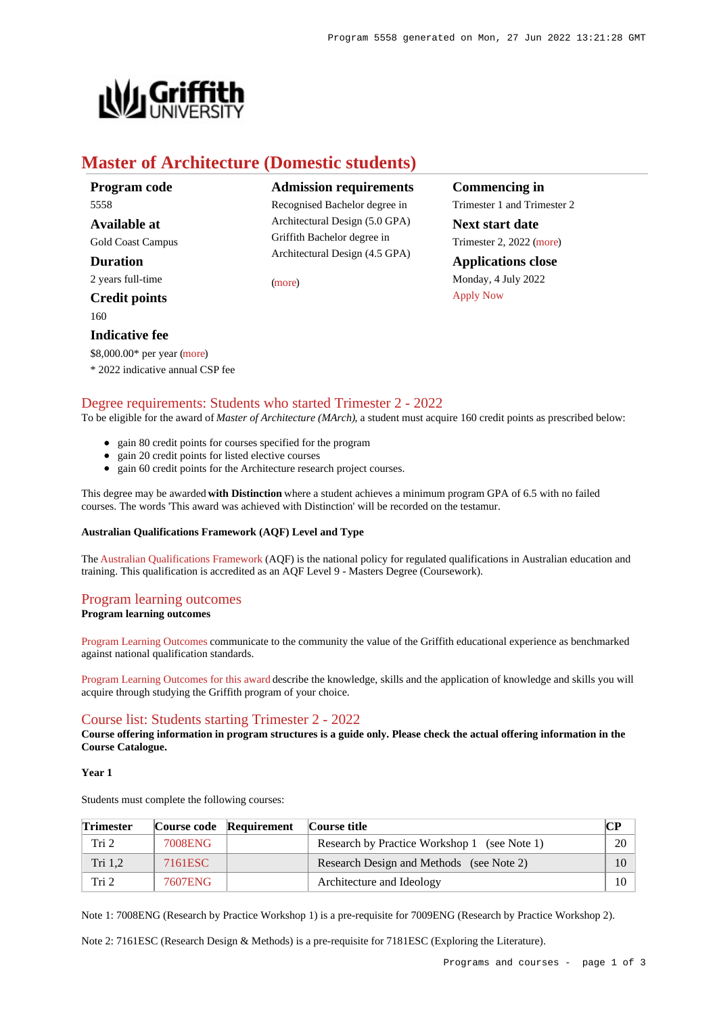

# **Master of Architecture (Domestic students)**

**Program code** 5558 **Available at** Gold Coast Campus **Duration** 2 years full-time **Credit points**

160

**Indicative fee**

**Admission requirements** Recognised Bachelor degree in Architectural Design (5.0 GPA) Griffith Bachelor degree in

Architectural Design (4.5 GPA)

[\(more](https://www148.griffith.edu.au/programs-courses/Program/5558/HowToApply/Domestic#can-i-apply))

**Commencing in** Trimester 1 and Trimester 2 **Next start date** Trimester 2, 2022 [\(more](https://www148.griffith.edu.au/programs-courses/Program/5558/HowToApply/Domestic)) **Applications close** Monday, 4 July 2022 [Apply Now](https://www148.griffith.edu.au/programs-courses/Program/5558/Courses/Domestic#)

## \$8,000.00\* per year [\(more](https://www148.griffith.edu.au/programs-courses/Program/5558/Overview/Domestic#fees)) \* 2022 indicative annual CSP fee

## [Degree requirements: Students who started Trimester 2 - 2022](https://www148.griffith.edu.au/programs-courses/Program/5558/Courses/Domestic#degree-requirements)

To be eligible for the award of *Master of Architecture (MArch)*, a student must acquire 160 credit points as prescribed below:

- gain 80 credit points for courses specified for the program
- gain 20 credit points for listed elective courses
- gain 60 credit points for the Architecture research project courses.

This degree may be awarded **with Distinction** where a student achieves a minimum program GPA of 6.5 with no failed courses. The words 'This award was achieved with Distinction' will be recorded on the testamur.

### **Australian Qualifications Framework (AQF) Level and Type**

The [Australian Qualifications Framework](http://www.aqf.edu.au/) (AQF) is the national policy for regulated qualifications in Australian education and training. This qualification is accredited as an AQF Level 9 - Masters Degree (Coursework).

## [Program learning outcomes](https://www148.griffith.edu.au/programs-courses/Program/5558/Courses/Domestic#programLearningOutcomes)

### **Program learning outcomes**

[Program Learning Outcomes](https://www.griffith.edu.au/__data/assets/pdf_file/0017/134522/PLO-general-advice.pdf) communicate to the community the value of the Griffith educational experience as benchmarked against national qualification standards.

[Program Learning Outcomes for this award](https://www.griffith.edu.au/__data/assets/pdf_file/0010/301132/MArchitecture-PLO-L9.pdf) describe the knowledge, skills and the application of knowledge and skills you will acquire through studying the Griffith program of your choice.

## [Course list: Students starting Trimester 2 - 2022](https://www148.griffith.edu.au/programs-courses/Program/5558/Courses/Domestic#course-list-content)

**Course offering information in program structures is a guide only. Please check the actual offering information in the Course Catalogue.**

#### **Year 1**

Students must complete the following courses:

| <b>Trimester</b> |         | Course code Requirement | Course title                                 | CР |
|------------------|---------|-------------------------|----------------------------------------------|----|
| Tri 2            | 7008ENG |                         | Research by Practice Workshop 1 (see Note 1) | 20 |
| Tri 1.2          | 7161ESC |                         | Research Design and Methods (see Note 2)     |    |
| Tri 2            | 7607ENG |                         | Architecture and Ideology                    | 10 |

Note 1: 7008ENG (Research by Practice Workshop 1) is a pre-requisite for 7009ENG (Research by Practice Workshop 2).

Note 2: 7161ESC (Research Design & Methods) is a pre-requisite for 7181ESC (Exploring the Literature).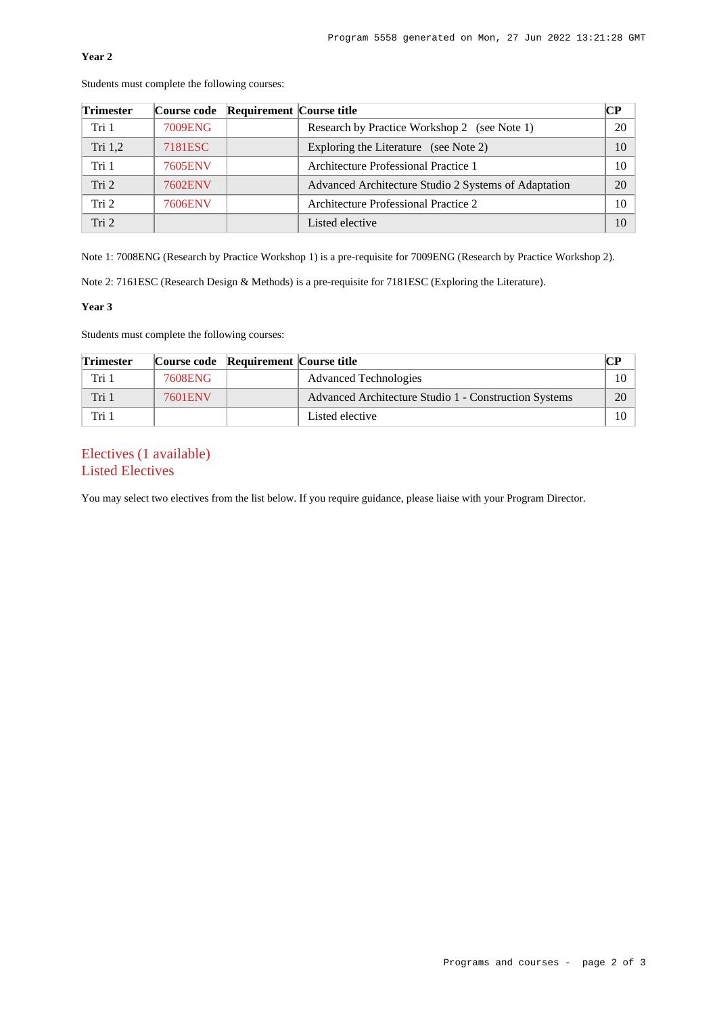### **Year 2**

| <b>Trimester</b> |                | Course code Requirement Course title |                                                      | CР |
|------------------|----------------|--------------------------------------|------------------------------------------------------|----|
| Tri 1            | 7009ENG        |                                      | Research by Practice Workshop 2 (see Note 1)         | 20 |
| Tri 1,2          | 7181ESC        |                                      | Exploring the Literature (see Note 2)                | 10 |
| Tri 1            | 7605ENV        |                                      | Architecture Professional Practice 1                 | 10 |
| Tri 2            | 7602ENV        |                                      | Advanced Architecture Studio 2 Systems of Adaptation | 20 |
| Tri 2            | <b>7606ENV</b> |                                      | Architecture Professional Practice 2                 | 10 |
| Tri <sub>2</sub> |                |                                      | Listed elective                                      | 10 |

Students must complete the following courses:

Note 1: 7008ENG (Research by Practice Workshop 1) is a pre-requisite for 7009ENG (Research by Practice Workshop 2).

Note 2: 7161ESC (Research Design & Methods) is a pre-requisite for 7181ESC (Exploring the Literature).

#### **Year 3**

Students must complete the following courses:

| <b>Trimester</b> |         | Course code Requirement Course title |                                                       | CР |
|------------------|---------|--------------------------------------|-------------------------------------------------------|----|
| Tri 1            | 7608ENG |                                      | <b>Advanced Technologies</b>                          | 10 |
| Tri 1            | 7601ENV |                                      | Advanced Architecture Studio 1 - Construction Systems | 20 |
| Tri 1            |         |                                      | Listed elective                                       | 10 |

## Electives (1 available) Listed Electives

You may select two electives from the list below. If you require guidance, please liaise with your Program Director.